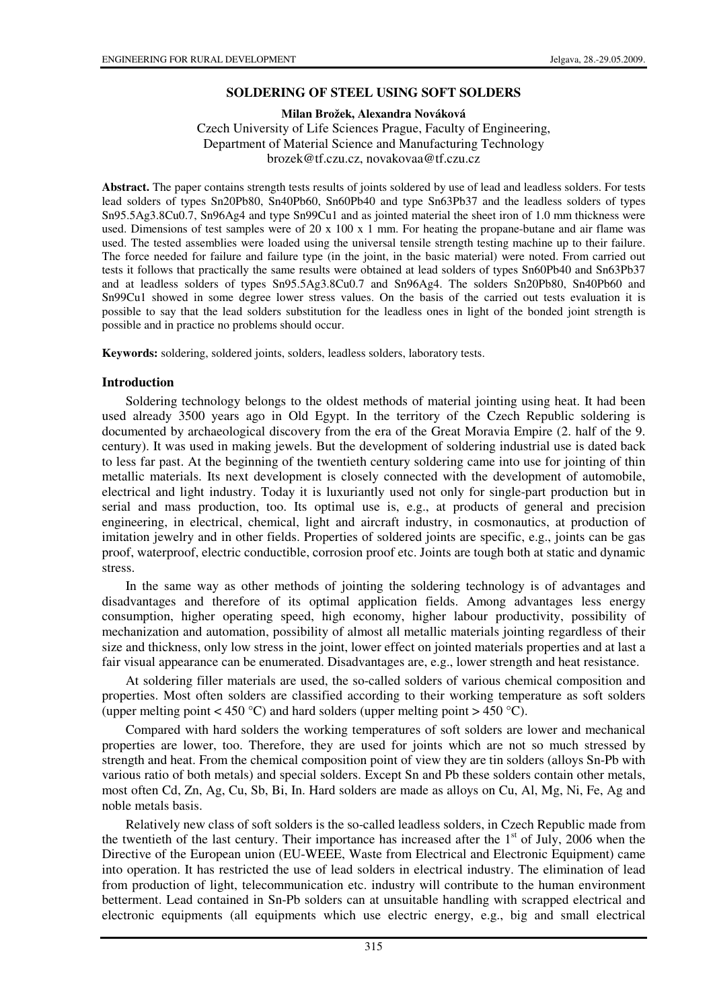#### **SOLDERING OF STEEL USING SOFT SOLDERS**

**Milan Brožek, Alexandra Nováková** 

Czech University of Life Sciences Prague, Faculty of Engineering, Department of Material Science and Manufacturing Technology brozek@tf.czu.cz, novakovaa@tf.czu.cz

**Abstract.** The paper contains strength tests results of joints soldered by use of lead and leadless solders. For tests lead solders of types Sn20Pb80, Sn40Pb60, Sn60Pb40 and type Sn63Pb37 and the leadless solders of types Sn95.5Ag3.8Cu0.7, Sn96Ag4 and type Sn99Cu1 and as jointed material the sheet iron of 1.0 mm thickness were used. Dimensions of test samples were of 20 x 100 x 1 mm. For heating the propane-butane and air flame was used. The tested assemblies were loaded using the universal tensile strength testing machine up to their failure. The force needed for failure and failure type (in the joint, in the basic material) were noted. From carried out tests it follows that practically the same results were obtained at lead solders of types Sn60Pb40 and Sn63Pb37 and at leadless solders of types Sn95.5Ag3.8Cu0.7 and Sn96Ag4. The solders Sn20Pb80, Sn40Pb60 and Sn99Cu1 showed in some degree lower stress values. On the basis of the carried out tests evaluation it is possible to say that the lead solders substitution for the leadless ones in light of the bonded joint strength is possible and in practice no problems should occur.

**Keywords:** soldering, soldered joints, solders, leadless solders, laboratory tests.

#### **Introduction**

Soldering technology belongs to the oldest methods of material jointing using heat. It had been used already 3500 years ago in Old Egypt. In the territory of the Czech Republic soldering is documented by archaeological discovery from the era of the Great Moravia Empire (2. half of the 9. century). It was used in making jewels. But the development of soldering industrial use is dated back to less far past. At the beginning of the twentieth century soldering came into use for jointing of thin metallic materials. Its next development is closely connected with the development of automobile, electrical and light industry. Today it is luxuriantly used not only for single-part production but in serial and mass production, too. Its optimal use is, e.g., at products of general and precision engineering, in electrical, chemical, light and aircraft industry, in cosmonautics, at production of imitation jewelry and in other fields. Properties of soldered joints are specific, e.g., joints can be gas proof, waterproof, electric conductible, corrosion proof etc. Joints are tough both at static and dynamic stress.

In the same way as other methods of jointing the soldering technology is of advantages and disadvantages and therefore of its optimal application fields. Among advantages less energy consumption, higher operating speed, high economy, higher labour productivity, possibility of mechanization and automation, possibility of almost all metallic materials jointing regardless of their size and thickness, only low stress in the joint, lower effect on jointed materials properties and at last a fair visual appearance can be enumerated. Disadvantages are, e.g., lower strength and heat resistance.

At soldering filler materials are used, the so-called solders of various chemical composition and properties. Most often solders are classified according to their working temperature as soft solders (upper melting point  $<$  450 °C) and hard solders (upper melting point > 450 °C).

Compared with hard solders the working temperatures of soft solders are lower and mechanical properties are lower, too. Therefore, they are used for joints which are not so much stressed by strength and heat. From the chemical composition point of view they are tin solders (alloys Sn-Pb with various ratio of both metals) and special solders. Except Sn and Pb these solders contain other metals, most often Cd, Zn, Ag, Cu, Sb, Bi, In. Hard solders are made as alloys on Cu, Al, Mg, Ni, Fe, Ag and noble metals basis.

Relatively new class of soft solders is the so-called leadless solders, in Czech Republic made from the twentieth of the last century. Their importance has increased after the  $1<sup>st</sup>$  of July, 2006 when the Directive of the European union (EU-WEEE, Waste from Electrical and Electronic Equipment) came into operation. It has restricted the use of lead solders in electrical industry. The elimination of lead from production of light, telecommunication etc. industry will contribute to the human environment betterment. Lead contained in Sn-Pb solders can at unsuitable handling with scrapped electrical and electronic equipments (all equipments which use electric energy, e.g., big and small electrical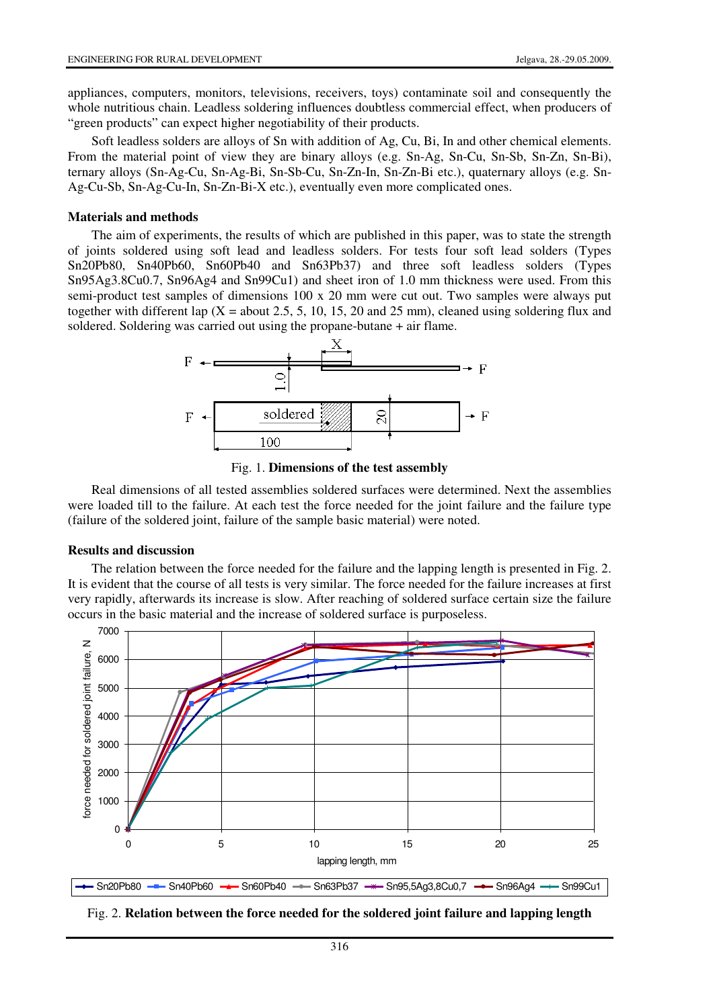appliances, computers, monitors, televisions, receivers, toys) contaminate soil and consequently the whole nutritious chain. Leadless soldering influences doubtless commercial effect, when producers of "green products" can expect higher negotiability of their products.

Soft leadless solders are alloys of Sn with addition of Ag, Cu, Bi, In and other chemical elements. From the material point of view they are binary alloys (e.g. Sn-Ag, Sn-Cu, Sn-Sb, Sn-Zn, Sn-Bi), ternary alloys (Sn-Ag-Cu, Sn-Ag-Bi, Sn-Sb-Cu, Sn-Zn-In, Sn-Zn-Bi etc.), quaternary alloys (e.g. Sn-Ag-Cu-Sb, Sn-Ag-Cu-In, Sn-Zn-Bi-X etc.), eventually even more complicated ones.

### **Materials and methods**

The aim of experiments, the results of which are published in this paper, was to state the strength of joints soldered using soft lead and leadless solders. For tests four soft lead solders (Types Sn20Pb80, Sn40Pb60, Sn60Pb40 and Sn63Pb37) and three soft leadless solders (Types Sn95Ag3.8Cu0.7, Sn96Ag4 and Sn99Cu1) and sheet iron of 1.0 mm thickness were used. From this semi-product test samples of dimensions 100 x 20 mm were cut out. Two samples were always put together with different lap ( $X =$  about 2.5, 5, 10, 15, 20 and 25 mm), cleaned using soldering flux and soldered. Soldering was carried out using the propane-butane + air flame.



Fig. 1. **Dimensions of the test assembly** 

Real dimensions of all tested assemblies soldered surfaces were determined. Next the assemblies were loaded till to the failure. At each test the force needed for the joint failure and the failure type (failure of the soldered joint, failure of the sample basic material) were noted.

## **Results and discussion**

The relation between the force needed for the failure and the lapping length is presented in Fig. 2. It is evident that the course of all tests is very similar. The force needed for the failure increases at first very rapidly, afterwards its increase is slow. After reaching of soldered surface certain size the failure occurs in the basic material and the increase of soldered surface is purposeless.



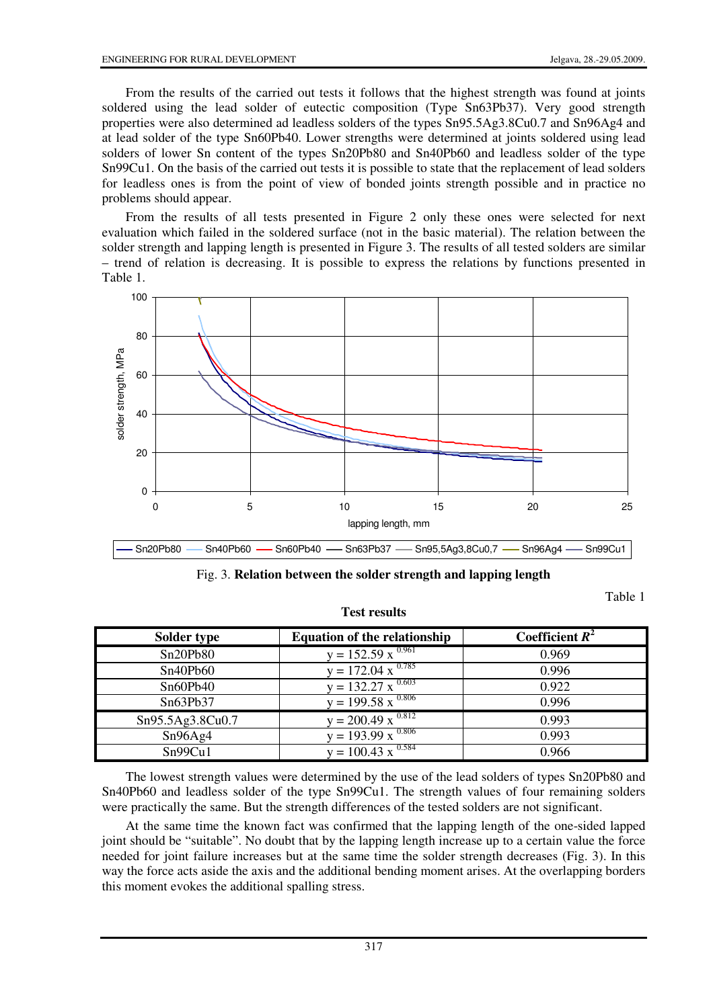From the results of the carried out tests it follows that the highest strength was found at joints soldered using the lead solder of eutectic composition (Type Sn63Pb37). Very good strength properties were also determined ad leadless solders of the types Sn95.5Ag3.8Cu0.7 and Sn96Ag4 and at lead solder of the type Sn60Pb40. Lower strengths were determined at joints soldered using lead solders of lower Sn content of the types Sn20Pb80 and Sn40Pb60 and leadless solder of the type Sn99Cu1. On the basis of the carried out tests it is possible to state that the replacement of lead solders for leadless ones is from the point of view of bonded joints strength possible and in practice no problems should appear.

From the results of all tests presented in Figure 2 only these ones were selected for next evaluation which failed in the soldered surface (not in the basic material). The relation between the solder strength and lapping length is presented in Figure 3. The results of all tested solders are similar – trend of relation is decreasing. It is possible to express the relations by functions presented in Table 1.



Fig. 3. **Relation between the solder strength and lapping length** 

Table 1

| Solder type      | <b>Equation of the relationship</b>            | Coefficient $R^2$ |
|------------------|------------------------------------------------|-------------------|
| Sn20Pb80         | $y = 152.59 \times \frac{0.961}{100}$          | 0.969             |
| Sn40Pb60         | $y = 172.04 \times \frac{0.785}{100}$          | 0.996             |
| Sn60Pb40         | $y = 132.27 \times 0.603$                      | 0.922             |
| Sn63Pb37         | $y = 199.58 \times \frac{0.806}{1000}$         | 0.996             |
| Sn95.5Ag3.8Cu0.7 | $y = 200.\overline{49} \times \sqrt[0.812]{ }$ | 0.993             |
| Sn96Ag4          | $y = 193.99 \times \frac{0.806}{x}$            | 0.993             |
| Sn99Cu1          | $v = 100.43 \times \frac{0.584}{x}$            | 0.966             |

# **Test results**

The lowest strength values were determined by the use of the lead solders of types Sn20Pb80 and Sn40Pb60 and leadless solder of the type Sn99Cu1. The strength values of four remaining solders were practically the same. But the strength differences of the tested solders are not significant.

At the same time the known fact was confirmed that the lapping length of the one-sided lapped joint should be "suitable". No doubt that by the lapping length increase up to a certain value the force needed for joint failure increases but at the same time the solder strength decreases (Fig. 3). In this way the force acts aside the axis and the additional bending moment arises. At the overlapping borders this moment evokes the additional spalling stress.